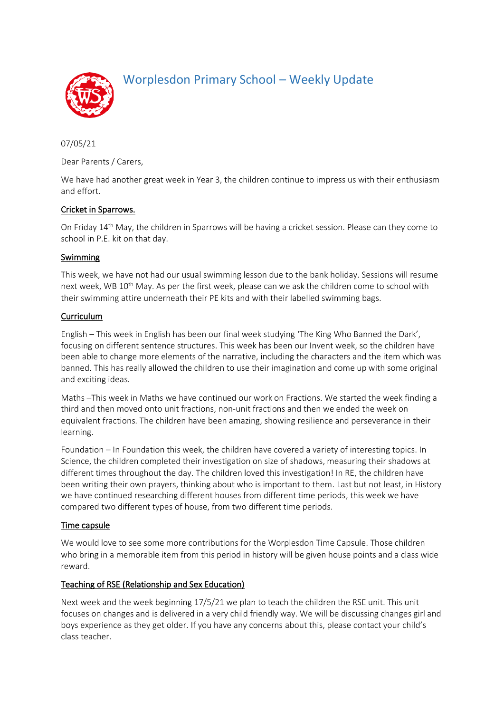

Worplesdon Primary School – Weekly Update

07/05/21

Dear Parents / Carers,

We have had another great week in Year 3, the children continue to impress us with their enthusiasm and effort.

## Cricket in Sparrows.

On Friday 14th May, the children in Sparrows will be having a cricket session. Please can they come to school in P.E. kit on that day.

### Swimming

This week, we have not had our usual swimming lesson due to the bank holiday. Sessions will resume next week, WB 10<sup>th</sup> May. As per the first week, please can we ask the children come to school with their swimming attire underneath their PE kits and with their labelled swimming bags.

### Curriculum

English – This week in English has been our final week studying 'The King Who Banned the Dark', focusing on different sentence structures. This week has been our Invent week, so the children have been able to change more elements of the narrative, including the characters and the item which was banned. This has really allowed the children to use their imagination and come up with some original and exciting ideas.

Maths –This week in Maths we have continued our work on Fractions. We started the week finding a third and then moved onto unit fractions, non-unit fractions and then we ended the week on equivalent fractions. The children have been amazing, showing resilience and perseverance in their learning.

Foundation – In Foundation this week, the children have covered a variety of interesting topics. In Science, the children completed their investigation on size of shadows, measuring their shadows at different times throughout the day. The children loved this investigation! In RE, the children have been writing their own prayers, thinking about who is important to them. Last but not least, in History we have continued researching different houses from different time periods, this week we have compared two different types of house, from two different time periods.

### Time capsule

We would love to see some more contributions for the Worplesdon Time Capsule. Those children who bring in a memorable item from this period in history will be given house points and a class wide reward.

### Teaching of RSE (Relationship and Sex Education)

Next week and the week beginning 17/5/21 we plan to teach the children the RSE unit. This unit focuses on changes and is delivered in a very child friendly way. We will be discussing changes girl and boys experience as they get older. If you have any concerns about this, please contact your child's class teacher.